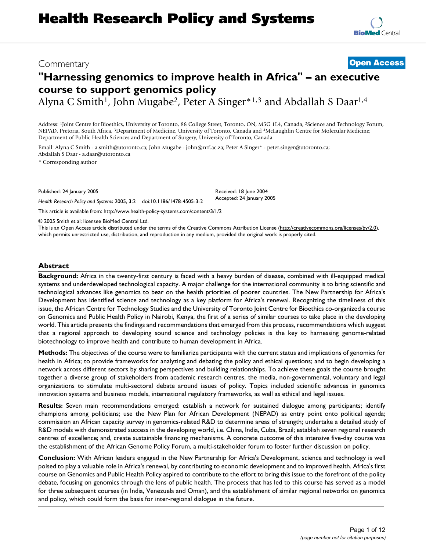# Commentary **[Open Access](http://www.biomedcentral.com/info/about/charter/)**

# **"Harnessing genomics to improve health in Africa" – an executive course to support genomics policy**

Alyna C Smith<sup>1</sup>, John Mugabe<sup>2</sup>, Peter A Singer<sup>\*1,3</sup> and Abdallah S Daar<sup>1,4</sup>

Address: 1Joint Centre for Bioethics, University of Toronto, 88 College Street, Toronto, ON, M5G 1L4, Canada, 2Science and Technology Forum, NEPAD, Pretoria, South Africa, 3Department of Medicine, University of Toronto, Canada and 4McLaughlin Centre for Molecular Medicine; Department of Public Health Sciences and Department of Surgery, University of Toronto, Canada

Email: Alyna C Smith - a.smith@utoronto.ca; John Mugabe - john@nrf.ac.za; Peter A Singer\* - peter.singer@utoronto.ca; Abdallah S Daar - a.daar@utoronto.ca

\* Corresponding author

Published: 24 January 2005

*Health Research Policy and Systems* 2005, **3**:2 doi:10.1186/1478-4505-3-2

[This article is available from: http://www.health-policy-systems.com/content/3/1/2](http://www.health-policy-systems.com/content/3/1/2)

© 2005 Smith et al; licensee BioMed Central Ltd.

This is an Open Access article distributed under the terms of the Creative Commons Attribution License [\(http://creativecommons.org/licenses/by/2.0\)](http://creativecommons.org/licenses/by/2.0), which permits unrestricted use, distribution, and reproduction in any medium, provided the original work is properly cited.

#### **Abstract**

**Background:** Africa in the twenty-first century is faced with a heavy burden of disease, combined with ill-equipped medical systems and underdeveloped technological capacity. A major challenge for the international community is to bring scientific and technological advances like genomics to bear on the health priorities of poorer countries. The New Partnership for Africa's Development has identified science and technology as a key platform for Africa's renewal. Recognizing the timeliness of this issue, the African Centre for Technology Studies and the University of Toronto Joint Centre for Bioethics co-organized a course on Genomics and Public Health Policy in Nairobi, Kenya, the first of a series of similar courses to take place in the developing world. This article presents the findings and recommendations that emerged from this process, recommendations which suggest that a regional approach to developing sound science and technology policies is the key to harnessing genome-related biotechnology to improve health and contribute to human development in Africa.

**Methods:** The objectives of the course were to familiarize participants with the current status and implications of genomics for health in Africa; to provide frameworks for analyzing and debating the policy and ethical questions; and to begin developing a network across different sectors by sharing perspectives and building relationships. To achieve these goals the course brought together a diverse group of stakeholders from academic research centres, the media, non-governmental, voluntary and legal organizations to stimulate multi-sectoral debate around issues of policy. Topics included scientific advances in genomics innovation systems and business models, international regulatory frameworks, as well as ethical and legal issues.

**Results:** Seven main recommendations emerged: establish a network for sustained dialogue among participants; identify champions among politicians; use the New Plan for African Development (NEPAD) as entry point onto political agenda; commission an African capacity survey in genomics-related R&D to determine areas of strength; undertake a detailed study of R&D models with demonstrated success in the developing world, i.e. China, India, Cuba, Brazil; establish seven regional research centres of excellence; and, create sustainable financing mechanisms. A concrete outcome of this intensive five-day course was the establishment of the African Genome Policy Forum, a multi-stakeholder forum to foster further discussion on policy.

**Conclusion:** With African leaders engaged in the New Partnership for Africa's Development, science and technology is well poised to play a valuable role in Africa's renewal, by contributing to economic development and to improved health. Africa's first course on Genomics and Public Health Policy aspired to contribute to the effort to bring this issue to the forefront of the policy debate, focusing on genomics through the lens of public health. The process that has led to this course has served as a model for three subsequent courses (in India, Venezuela and Oman), and the establishment of similar regional networks on genomics and policy, which could form the basis for inter-regional dialogue in the future.

Received: 18 June 2004 Accepted: 24 January 2005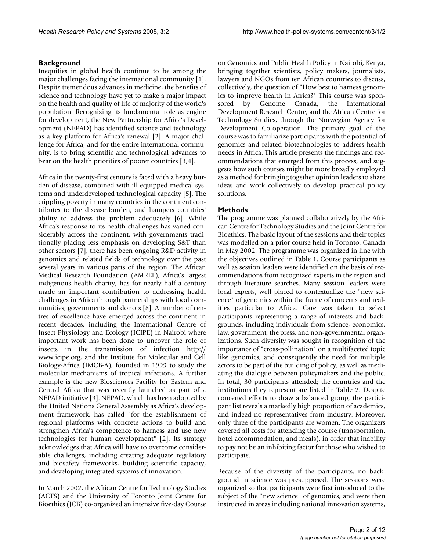## **Background**

Inequities in global health continue to be among the major challenges facing the international community [1]. Despite tremendous advances in medicine, the benefits of science and technology have yet to make a major impact on the health and quality of life of majority of the world's population. Recognizing its fundamental role as engine for development, the New Partnership for Africa's Development (NEPAD) has identified science and technology as a key platform for Africa's renewal [2]. A major challenge for Africa, and for the entire international community, is to bring scientific and technological advances to bear on the health priorities of poorer countries [3,4].

Africa in the twenty-first century is faced with a heavy burden of disease, combined with ill-equipped medical systems and underdeveloped technological capacity [5]. The crippling poverty in many countries in the continent contributes to the disease burden, and hampers countries' ability to address the problem adequately [6]. While Africa's response to its health challenges has varied considerably across the continent, with governments traditionally placing less emphasis on developing S&T than other sectors [7], there has been ongoing R&D activity in genomics and related fields of technology over the past several years in various parts of the region. The African Medical Research Foundation (AMREF), Africa's largest indigenous health charity, has for nearly half a century made an important contribution to addressing health challenges in Africa through partnerships with local communities, governments and donors [8]. A number of centres of excellence have emerged across the continent in recent decades, including the International Centre of Insect Physiology and Ecology (ICIPE) in Nairobi where important work has been done to uncover the role of insects in the transmission of infection [http://](http://www.icipe.org) [www.icipe.org](http://www.icipe.org), and the Institute for Molecular and Cell Biology-Africa (IMCB-A), founded in 1999 to study the molecular mechanisms of tropical infections. A further example is the new Biosciences Facility for Eastern and Central Africa that was recently launched as part of a NEPAD initiative [9]. NEPAD, which has been adopted by the United Nations General Assembly as Africa's development framework, has called "for the establishment of regional platforms with concrete actions to build and strengthen Africa's competence to harness and use new technologies for human development" [2]. Its strategy acknowledges that Africa will have to overcome considerable challenges, including creating adequate regulatory and biosafety frameworks, building scientific capacity, and developing integrated systems of innovation.

In March 2002, the African Centre for Technology Studies (ACTS) and the University of Toronto Joint Centre for Bioethics (JCB) co-organized an intensive five-day Course on Genomics and Public Health Policy in Nairobi, Kenya, bringing together scientists, policy makers, journalists, lawyers and NGOs from ten African countries to discuss, collectively, the question of "How best to harness genomics to improve health in Africa?" This course was sponsored by Genome Canada, the International Development Research Centre, and the African Centre for Technology Studies, through the Norwegian Agency for Development Co-operation. The primary goal of the course was to familiarize participants with the potential of genomics and related biotechnologies to address health needs in Africa. This article presents the findings and recommendations that emerged from this process, and suggests how such courses might be more broadly employed as a method for bringing together opinion leaders to share ideas and work collectively to develop practical policy solutions.

## **Methods**

The programme was planned collaboratively by the African Centre for Technology Studies and the Joint Centre for Bioethics. The basic layout of the sessions and their topics was modelled on a prior course held in Toronto, Canada in May 2002. The programme was organized in line with the objectives outlined in Table [1](#page-2-0). Course participants as well as session leaders were identified on the basis of recommendations from recognized experts in the region and through literature searches. Many session leaders were local experts, well placed to contextualize the "new science" of genomics within the frame of concerns and realities particular to Africa. Care was taken to select participants representing a range of interests and backgrounds, including individuals from science, economics, law, government, the press, and non-governmental organizations. Such diversity was sought in recognition of the importance of "cross-pollination" on a multifaceted topic like genomics, and consequently the need for multiple actors to be part of the building of policy, as well as mediating the dialogue between policymakers and the public. In total, 30 participants attended; the countries and the institutions they represent are listed in Table [2.](#page-2-1) Despite concerted efforts to draw a balanced group, the participant list reveals a markedly high proportion of academics, and indeed no representatives from industry. Moreover, only three of the participants are women. The organizers covered all costs for attending the course (transportation, hotel accommodation, and meals), in order that inability to pay not be an inhibiting factor for those who wished to participate.

Because of the diversity of the participants, no background in science was presupposed. The sessions were organized so that participants were first introduced to the subject of the "new science" of genomics, and were then instructed in areas including national innovation systems,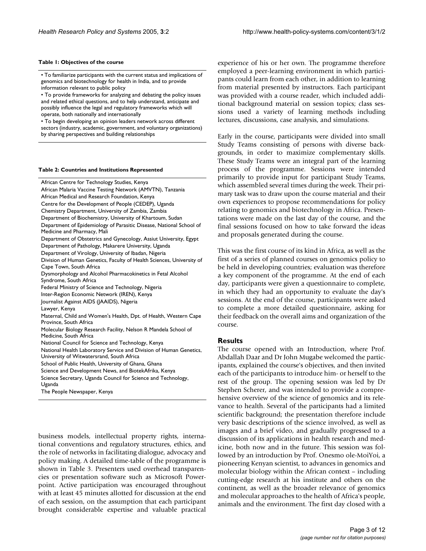#### <span id="page-2-0"></span>**Table 1: Objectives of the course**

• To familiarize participants with the current status and implications of genomics and biotechnology for health in India, and to provide information relevant to public policy

• To provide frameworks for analyzing and debating the policy issues and related ethical questions, and to help understand, anticipate and possibly influence the legal and regulatory frameworks which will operate, both nationally and internationally

• To begin developing an opinion leaders network across different sectors (industry, academic, government, and voluntary organizations) by sharing perspectives and building relationships

#### <span id="page-2-1"></span>**Table 2: Countries and Institutions Represented**

African Centre for Technology Studies, Kenya African Malaria Vaccine Testing Network (AMVTN), Tanzania African Medical and Research Foundation, Kenya Centre for the Development of People (CEDEP), Uganda Chemistry Department, University of Zambia, Zambia Department of Biochemistry, University of Khartoum, Sudan Department of Epidemiology of Parasitic Disease, National School of Medicine and Pharmacy, Mali Department of Obstetrics and Gynecology, Assiut University, Egypt Department of Pathology, Makarere University, Uganda Department of Virology, University of Ibadan, Nigeria Division of Human Genetics, Faculty of Health Sciences, University of Cape Town, South Africa Dysmorphology and Alcohol Pharmacokinetics in Fetal Alcohol Syndrome, South Africa Federal Ministry of Science and Technology, Nigeria Inter-Region Economic Network (IREN), Kenya Journalist Against AIDS (JAAIDS), Nigeria Lawyer, Kenya Maternal, Child and Women's Health, Dpt. of Health, Western Cape Province, South Africa Molecular Biology Research Facility, Nelson R Mandela School of Medicine, South Africa National Council for Science and Technology, Kenya National Health Laboratory Service and Division of Human Genetics, University of Witwatersrand, South Africa School of Public Health, University of Ghana, Ghana Science and Development News, and BiotekAfrika, Kenya Science Secretary, Uganda Council for Science and Technology, Uganda The People Newspaper, Kenya

business models, intellectual property rights, international conventions and regulatory structures, ethics, and the role of networks in facilitating dialogue, advocacy and policy making. A detailed time-table of the programme is shown in Table [3.](#page-3-0) Presenters used overhead transparencies or presentation software such as Microsoft Powerpoint. Active participation was encouraged throughout with at least 45 minutes allotted for discussion at the end of each session, on the assumption that each participant brought considerable expertise and valuable practical experience of his or her own. The programme therefore employed a peer-learning environment in which participants could learn from each other, in addition to learning from material presented by instructors. Each participant was provided with a course reader, which included additional background material on session topics; class sessions used a variety of learning methods including lectures, discussions, case analysis, and simulations.

Early in the course, participants were divided into small Study Teams consisting of persons with diverse backgrounds, in order to maximize complementary skills. These Study Teams were an integral part of the learning process of the programme. Sessions were intended primarily to provide input for participant Study Teams, which assembled several times during the week. Their primary task was to draw upon the course material and their own experiences to propose recommendations for policy relating to genomics and biotechnology in Africa. Presentations were made on the last day of the course, and the final sessions focused on how to take forward the ideas and proposals generated during the course.

This was the first course of its kind in Africa, as well as the first of a series of planned courses on genomics policy to be held in developing countries; evaluation was therefore a key component of the programme. At the end of each day, participants were given a questionnaire to complete, in which they had an opportunity to evaluate the day's sessions. At the end of the course, participants were asked to complete a more detailed questionnaire, asking for their feedback on the overall aims and organization of the course.

# **Results**

The course opened with an Introduction, where Prof. Abdallah Daar and Dr John Mugabe welcomed the participants, explained the course's objectives, and then invited each of the participants to introduce him- or herself to the rest of the group. The opening session was led by Dr Stephen Scherer, and was intended to provide a comprehensive overview of the science of genomics and its relevance to health. Several of the participants had a limited scientific background; the presentation therefore include very basic descriptions of the science involved, as well as images and a brief video, and gradually progressed to a discussion of its applications in health research and medicine, both now and in the future. This session was followed by an introduction by Prof. Onesmo ole-MoiYoi, a pioneering Kenyan scientist, to advances in genomics and molecular biology within the African context – including cutting-edge research at his institute and others on the continent, as well as the broader relevance of genomics and molecular approaches to the health of Africa's people, animals and the environment. The first day closed with a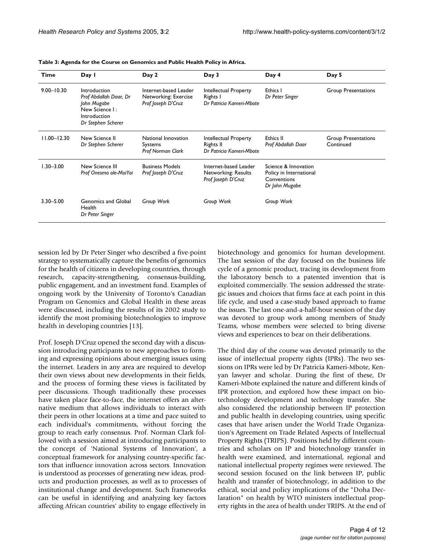| Time            | Day I                                                                                                         | Day 2                                                               | Day 3                                                              | Day 4                                                                            | Day 5                            |
|-----------------|---------------------------------------------------------------------------------------------------------------|---------------------------------------------------------------------|--------------------------------------------------------------------|----------------------------------------------------------------------------------|----------------------------------|
| $9.00 - 10.30$  | Introduction<br>Prof Abdallah Daar, Dr<br>John Mugabe<br>New Science I:<br>Introduction<br>Dr Stephen Scherer | Internet-based Leader<br>Networking: Exercise<br>Prof Joseph D'Cruz | Intellectual Property<br>Rights I<br>Dr Patricia Kameri-Mbote      | Ethics I<br>Dr Peter Singer                                                      | <b>Group Presentations</b>       |
| $11.00 - 12.30$ | New Science II<br>Dr Stephen Scherer                                                                          | National Innovation<br>Systems<br>Prof Norman Clark                 | Intellectual Property<br>Rights II<br>Dr Patricia Kameri-Mbote     | Ethics II<br>Prof Abdallah Daar                                                  | Group Presentations<br>Continued |
| $1.30 - 3.00$   | New Science III<br>Prof Onesmo ole-MoiYoi                                                                     | <b>Business Models</b><br>Prof Joseph D'Cruz                        | Internet-based Leader<br>Networking: Results<br>Prof Joseph D'Cruz | Science & Innovation<br>Policy in International<br>Conventions<br>Dr John Mugabe |                                  |
| $3.30 - 5.00$   | Genomics and Global<br>Health<br>Dr Peter Singer                                                              | Group Work                                                          | Group Work                                                         | Group Work                                                                       |                                  |

<span id="page-3-0"></span>**Table 3: Agenda for the Course on Genomics and Public Health Policy in Africa.**

session led by Dr Peter Singer who described a five-point strategy to systematically capture the benefits of genomics for the health of citizens in developing countries, through research, capacity-strengthening, consensus-building, public engagement, and an investment fund. Examples of ongoing work by the University of Toronto's Canadian Program on Genomics and Global Health in these areas were discussed, including the results of its 2002 study to identify the most promising biotechnologies to improve health in developing countries [13].

Prof. Joseph D'Cruz opened the second day with a discussion introducing participants to new approaches to forming and expressing opinions about emerging issues using the internet. Leaders in any area are required to develop their own views about new developments in their fields, and the process of forming these views is facilitated by peer discussions. Though traditionally these processes have taken place face-to-face, the internet offers an alternative medium that allows individuals to interact with their peers in other locations at a time and pace suited to each individual's commitments, without forcing the group to reach early consensus. Prof. Norman Clark followed with a session aimed at introducing participants to the concept of 'National Systems of Innovation', a conceptual framework for analysing country-specific factors that influence innovation across sectors. Innovation is understood as processes of generating new ideas, products and production processes, as well as to processes of institutional change and development. Such frameworks can be useful in identifying and analyzing key factors affecting African countries' ability to engage effectively in

biotechnology and genomics for human development. The last session of the day focused on the business life cycle of a genomic product, tracing its development from the laboratory bench to a patented invention that is exploited commercially. The session addressed the strategic issues and choices that firms face at each point in this life cycle, and used a case-study based approach to frame the issues. The last one-and-a-half-hour session of the day was devoted to group work among members of Study Teams, whose members were selected to bring diverse views and experiences to bear on their deliberations.

The third day of the course was devoted primarily to the issue of intellectual property rights (IPRs). The two sessions on IPRs were led by Dr Patricia Kameri-Mbote, Kenyan lawyer and scholar. During the first of these, Dr Kameri-Mbote explained the nature and different kinds of IPR protection, and explored how these impact on biotechnology development and technology transfer. She also considered the relationship between IP protection and public health in developing countries, using specific cases that have arisen under the World Trade Organization's Agreement on Trade Related Aspects of Intellectual Property Rights (TRIPS). Positions held by different countries and scholars on IP and biotechnology transfer in health were examined, and international, regional and national intellectual property regimes were reviewed. The second session focused on the link between IP, public health and transfer of biotechnology, in addition to the ethical, social and policy implications of the "Doha Declaration" on health by WTO ministers intellectual property rights in the area of health under TRIPS. At the end of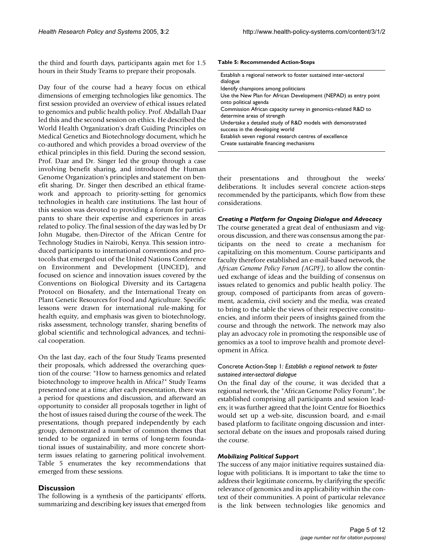the third and fourth days, participants again met for 1.5 hours in their Study Teams to prepare their proposals.

Day four of the course had a heavy focus on ethical dimensions of emerging technologies like genomics. The first session provided an overview of ethical issues related to genomics and public health policy. Prof. Abdallah Daar led this and the second session on ethics. He described the World Health Organization's draft Guiding Principles on Medical Genetics and Biotechnology document, which he co-authored and which provides a broad overview of the ethical principles in this field. During the second session, Prof. Daar and Dr. Singer led the group through a case involving benefit sharing, and introduced the Human Genome Organization's principles and statement on benefit sharing. Dr. Singer then described an ethical framework and approach to priority-setting for genomics technologies in health care institutions. The last hour of this session was devoted to providing a forum for participants to share their expertise and experiences in areas related to policy. The final session of the day was led by Dr John Mugabe, then-Director of the African Centre for Technology Studies in Nairobi, Kenya. This session introduced participants to international conventions and protocols that emerged out of the United Nations Conference on Environment and Development (UNCED), and focused on science and innovation issues covered by the Conventions on Biological Diversity and its Cartagena Protocol on Biosafety, and the International Treaty on Plant Genetic Resources for Food and Agriculture. Specific lessons were drawn for international rule-making for health equity, and emphasis was given to biotechnology, risks assessment, technology transfer, sharing benefits of global scientific and technological advances, and technical cooperation.

On the last day, each of the four Study Teams presented their proposals, which addressed the overarching question of the course: "How to harness genomics and related biotechnology to improve health in Africa?" Study Teams presented one at a time; after each presentation, there was a period for questions and discussion, and afterward an opportunity to consider all proposals together in light of the host of issues raised during the course of the week. The presentations, though prepared independently by each group, demonstrated a number of common themes that tended to be organized in terms of long-term foundational issues of sustainability, and more concrete shortterm issues relating to garnering political involvement. Table [5](#page-4-0) enumerates the key recommendations that emerged from these sessions.

#### **Discussion**

The following is a synthesis of the participants' efforts, summarizing and describing key issues that emerged from

#### <span id="page-4-0"></span>**Table 5: Recommended Action-Steps**

| Establish a regional network to foster sustained inter-sectoral<br>dialogue                   |
|-----------------------------------------------------------------------------------------------|
| Identify champions among politicians                                                          |
| Use the New Plan for African Development (NEPAD) as entry point<br>onto political agenda      |
| Commission African capacity survey in genomics-related R&D to                                 |
| determine areas of strength                                                                   |
| Undertake a detailed study of R&D models with demonstrated<br>success in the developing world |
| Establish seven regional research centres of excellence                                       |
| Create sustainable financing mechanisms                                                       |

their presentations and throughout the weeks' deliberations. It includes several concrete action-steps recommended by the participants, which flow from these considerations.

#### *Creating a Platform for Ongoing Dialogue and Advocacy*

The course generated a great deal of enthusiasm and vigorous discussion, and there was consensus among the participants on the need to create a mechanism for capitalizing on this momentum. Course participants and faculty therefore established an e-mail-based network, the *African Genome Policy Forum (AGPF)*, to allow the continued exchange of ideas and the building of consensus on issues related to genomics and public health policy. The group, composed of participants from areas of government, academia, civil society and the media, was created to bring to the table the views of their respective constituencies, and inform their peers of insights gained from the course and through the network. The network may also play an advocacy role in promoting the responsible use of genomics as a tool to improve health and promote development in Africa.

#### Concrete Action-Step 1*: Establish a regional network to foster sustained inter-sectoral dialogue*

On the final day of the course, it was decided that a regional network, the "African Genome Policy Forum", be established comprising all participants and session leaders; it was further agreed that the Joint Centre for Bioethics would set up a web-site, discussion board, and e-mail based platform to facilitate ongoing discussion and intersectoral debate on the issues and proposals raised during the course.

#### *Mobilizing Political Support*

The success of any major initiative requires sustained dialogue with politicians. It is important to take the time to address their legitimate concerns, by clarifying the specific relevance of genomics and its applicability within the context of their communities. A point of particular relevance is the link between technologies like genomics and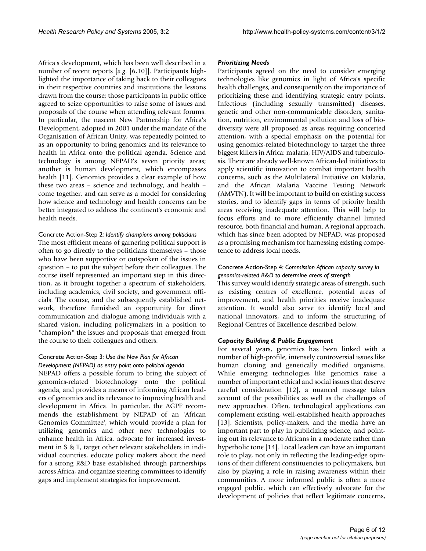Africa's development, which has been well described in a number of recent reports [*e.g*. [6,10]]. Participants highlighted the importance of taking back to their colleagues in their respective countries and institutions the lessons drawn from the course; those participants in public office agreed to seize opportunities to raise some of issues and proposals of the course when attending relevant forums. In particular, the nascent New Partnership for Africa's Development, adopted in 2001 under the mandate of the Organisation of African Unity, was repeatedly pointed to as an opportunity to bring genomics and its relevance to health in Africa onto the political agenda. Science and technology is among NEPAD's seven priority areas; another is human development, which encompasses health [11]. Genomics provides a clear example of how these two areas – science and technology, and health – come together, and can serve as a model for considering how science and technology and health concerns can be better integrated to address the continent's economic and health needs.

#### Concrete Action-Step 2*: Identify champions among politicians*

The most efficient means of garnering political support is often to go directly to the politicians themselves – those who have been supportive or outspoken of the issues in question – to put the subject before their colleagues. The course itself represented an important step in this direction, as it brought together a spectrum of stakeholders, including academics, civil society, and government officials. The course, and the subsequently established network, therefore furnished an opportunity for direct communication and dialogue among individuals with a shared vision, including policymakers in a position to "champion" the issues and proposals that emerged from the course to their colleagues and others.

## Concrete Action-Step 3*: Use the New Plan for African Development (NEPAD) as entry point onto political agenda*

NEPAD offers a possible forum to bring the subject of genomics-related biotechnology onto the political agenda, and provides a means of informing African leaders of genomics and its relevance to improving health and development in Africa. In particular, the AGPF recommends the establishment by NEPAD of an 'African Genomics Committee', which would provide a plan for utilizing genomics and other new technologies to enhance health in Africa, advocate for increased investment in S & T, target other relevant stakeholders in individual countries, educate policy makers about the need for a strong R&D base established through partnerships across Africa, and organize steering committees to identify gaps and implement strategies for improvement.

#### *Prioritizing Needs*

Participants agreed on the need to consider emerging technologies like genomics in light of Africa's specific health challenges, and consequently on the importance of prioritizing these and identifying strategic entry points. Infectious (including sexually transmitted) diseases, genetic and other non-communicable disorders, sanitation, nutrition, environmental pollution and loss of biodiversity were all proposed as areas requiring concerted attention, with a special emphasis on the potential for using genomics-related biotechnology to target the three biggest killers in Africa: malaria, HIV/AIDS and tuberculosis. There are already well-known African-led initiatives to apply scientific innovation to combat important health concerns, such as the Multilateral Initiative on Malaria, and the African Malaria Vaccine Testing Network (AMVTN). It will be important to build on existing success stories, and to identify gaps in terms of priority health areas receiving inadequate attention. This will help to focus efforts and to more efficiently channel limited resource, both financial and human. A regional approach, which has since been adopted by NEPAD, was proposed as a promising mechanism for harnessing existing competence to address local needs.

# Concrete Action-Step 4*: Commission African capacity survey in genomics-related R&D to determine areas of strength*

This survey would identify strategic areas of strength, such as existing centres of excellence, potential areas of improvement, and health priorities receive inadequate attention. It would also serve to identify local and national innovators, and to inform the structuring of Regional Centres of Excellence described below.

# *Capacity Building & Public Engagement*

For several years, genomics has been linked with a number of high-profile, intensely controversial issues like human cloning and genetically modified organisms. While emerging technologies like genomics raise a number of important ethical and social issues that deserve careful consideration [12], a nuanced message takes account of the possibilities as well as the challenges of new approaches. Often, technological applications can complement existing, well-established health approaches [13]. Scientists, policy-makers, and the media have an important part to play in publicizing science, and pointing out its relevance to Africans in a moderate rather than hyperbolic tone [14]. Local leaders can have an important role to play, not only in reflecting the leading-edge opinions of their different constituencies to policymakers, but also by playing a role in raising awareness within their communities. A more informed public is often a more engaged public, which can effectively advocate for the development of policies that reflect legitimate concerns,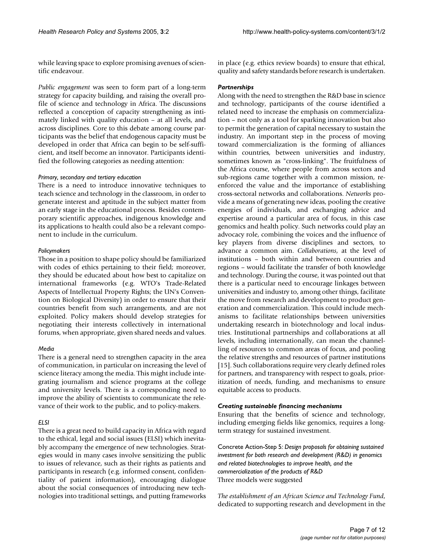while leaving space to explore promising avenues of scientific endeavour.

*Public engagement* was seen to form part of a long-term strategy for capacity building, and raising the overall profile of science and technology in Africa. The discussions reflected a conception of capacity strengthening as intimately linked with quality education – at all levels, and across disciplines. Core to this debate among course participants was the belief that endogenous capacity must be developed in order that Africa can begin to be self-sufficient, and itself become an innovator. Participants identified the following categories as needing attention:

#### *Primary, secondary and tertiary education*

There is a need to introduce innovative techniques to teach science and technology in the classroom, in order to generate interest and aptitude in the subject matter from an early stage in the educational process. Besides contemporary scientific approaches, indigenous knowledge and its applications to health could also be a relevant component to include in the curriculum.

#### *Policymakers*

Those in a position to shape policy should be familiarized with codes of ethics pertaining to their field; moreover, they should be educated about how best to capitalize on international frameworks (e.g. WTO's Trade-Related Aspects of Intellectual Property Rights; the UN's Convention on Biological Diversity) in order to ensure that their countries benefit from such arrangements, and are not exploited. Policy makers should develop strategies for negotiating their interests collectively in international forums, when appropriate, given shared needs and values.

#### *Media*

There is a general need to strengthen capacity in the area of communication, in particular on increasing the level of science literacy among the media. This might include integrating journalism and science programs at the college and university levels. There is a corresponding need to improve the ability of scientists to communicate the relevance of their work to the public, and to policy-makers.

# *ELSI*

There is a great need to build capacity in Africa with regard to the ethical, legal and social issues (ELSI) which inevitably accompany the emergence of new technologies. Strategies would in many cases involve sensitizing the public to issues of relevance, such as their rights as patients and participants in research (e.g. informed consent, confidentiality of patient information), encouraging dialogue about the social consequences of introducing new technologies into traditional settings, and putting frameworks in place (e.g. ethics review boards) to ensure that ethical, quality and safety standards before research is undertaken.

## *Partnerships*

Along with the need to strengthen the R&D base in science and technology, participants of the course identified a related need to increase the emphasis on commercialization – not only as a tool for sparking innovation but also to permit the generation of capital necessary to sustain the industry. An important step in the process of moving toward commercialization is the forming of alliances within countries, between universities and industry, sometimes known as "cross-linking". The fruitfulness of the Africa course, where people from across sectors and sub-regions came together with a common mission, reenforced the value and the importance of establishing cross-sectoral networks and collaborations. *Networks* provide a means of generating new ideas, pooling the creative energies of individuals, and exchanging advice and expertise around a particular area of focus, in this case genomics and health policy. Such networks could play an advocacy role, combining the voices and the influence of key players from diverse disciplines and sectors, to advance a common aim. *Collaborations*, at the level of institutions – both within and between countries and regions – would facilitate the transfer of both knowledge and technology. During the course, it was pointed out that there is a particular need to encourage linkages between universities and industry to, among other things, facilitate the move from research and development to product generation and commercialization. This could include mechanisms to facilitate relationships between universities undertaking research in biotechnology and local industries. Institutional partnerships and collaborations at all levels, including internationally, can mean the channelling of resources to common areas of focus, and pooling the relative strengths and resources of partner institutions [15]. Such collaborations require very clearly defined roles for partners, and transparency with respect to goals, prioritization of needs, funding, and mechanisms to ensure equitable access to products.

## *Creating sustainable financing mechanisms*

Ensuring that the benefits of science and technology, including emerging fields like genomics, requires a longterm strategy for sustained investment.

Concrete Action-Step 5*: Design proposals for obtaining sustained investment for both research and development (R&D) in genomics and related biotechnologies to improve health, and the commercialization of the products of R&D* Three models were suggested

*The establishment of an African Science and Technology Fund*, dedicated to supporting research and development in the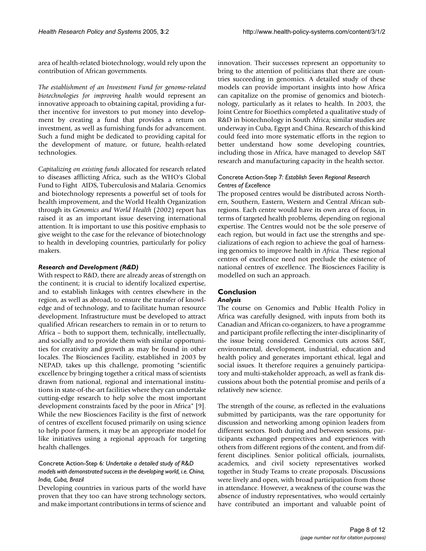area of health-related biotechnology, would rely upon the contribution of African governments.

*The establishment of an Investment Fund for genome-related biotechnologies for improving health* would represent an innovative approach to obtaining capital, providing a further incentive for investors to put money into development by creating a fund that provides a return on investment, as well as furnishing funds for advancement. Such a fund might be dedicated to providing capital for the development of mature, or future, health-related technologies.

*Capitalizing on existing funds* allocated for research related to diseases afflicting Africa, such as the WHO's Global Fund to Fight AIDS, Tuberculosis and Malaria. Genomics and biotechnology represents a powerful set of tools for health improvement, and the World Health Organization through its *Genomics and World Health* (2002) report has raised it as an important issue deserving international attention. It is important to use this positive emphasis to give weight to the case for the relevance of biotechnology to health in developing countries, particularly for policy makers.

## *Research and Development (R&D)*

With respect to R&D, there are already areas of strength on the continent; it is crucial to identify localized expertise, and to establish linkages with centres elsewhere in the region, as well as abroad, to ensure the transfer of knowledge and of technology, and to facilitate human resource development. Infrastructure must be developed to attract qualified African researchers to remain in or to return to Africa – both to support them, technically, intellectually, and socially and to provide them with similar opportunities for creativity and growth as may be found in other locales. The Biosciences Facility, established in 2003 by NEPAD, takes up this challenge, promoting "scientific excellence by bringing together a critical mass of scientists drawn from national, regional and international institutions in state-of-the-art facilities where they can undertake cutting-edge research to help solve the most important development constraints faced by the poor in Africa" [9]. While the new Biosciences Facility is the first of network of centres of excellent focused primarily on using science to help poor farmers, it may be an appropriate model for like initiatives using a regional approach for targeting health challenges.

## Concrete Action-Step 6*: Undertake a detailed study of R&D models with demonstrated success in the developing world, i.e. China, India, Cuba, Brazil*

Developing countries in various parts of the world have proven that they too can have strong technology sectors, and make important contributions in terms of science and

innovation. Their successes represent an opportunity to bring to the attention of politicians that there are countries succeeding in genomics. A detailed study of these models can provide important insights into how Africa can capitalize on the promise of genomics and biotechnology, particularly as it relates to health. In 2003, the Joint Centre for Bioethics completed a qualitative study of R&D in biotechnology in South Africa; similar studies are underway in Cuba, Egypt and China. Research of this kind could feed into more systematic efforts in the region to better understand how some developing countries, including those in Africa, have managed to develop S&T research and manufacturing capacity in the health sector.

## Concrete Action-Step 7*: Establish Seven Regional Research Centres of Excellence*

The proposed centres would be distributed across Northern, Southern, Eastern, Western and Central African subregions. Each centre would have its own area of focus, in terms of targeted health problems, depending on regional expertise. The Centres would not be the sole preserve of each region, but would in fact use the strengths and specializations of each region to achieve the goal of harnessing genomics to improve health in *Africa*. These regional centres of excellence need not preclude the existence of national centres of excellence. The Biosciences Facility is modelled on such an approach.

# **Conclusion**

# *Analysis*

The course on Genomics and Public Health Policy in Africa was carefully designed, with inputs from both its Canadian and African co-organizers, to have a programme and participant profile reflecting the inter-disciplinarity of the issue being considered. Genomics cuts across S&T, environmental, development, industrial, education and health policy and generates important ethical, legal and social issues. It therefore requires a genuinely participatory and multi-stakeholder approach, as well as frank discussions about both the potential promise and perils of a relatively new science.

The strength of the course, as reflected in the evaluations submitted by participants, was the rare opportunity for discussion and networking among opinion leaders from different sectors. Both during and between sessions, participants exchanged perspectives and experiences with others from different regions of the content, and from different disciplines. Senior political officials, journalists, academics, and civil society representatives worked together in Study Teams to create proposals. Discussions were lively and open, with broad participation from those in attendance. However, a weakness of the course was the absence of industry representatives, who would certainly have contributed an important and valuable point of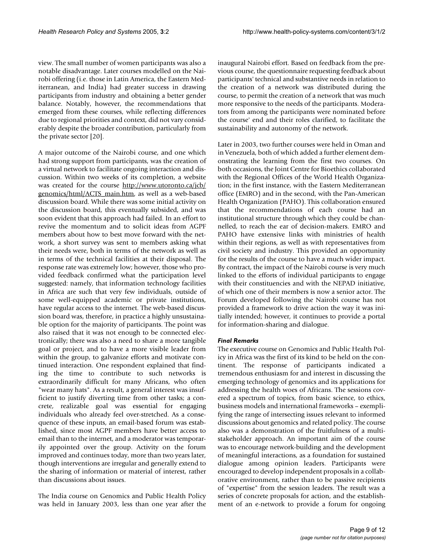view. The small number of women participants was also a notable disadvantage. Later courses modelled on the Nairobi offering (i.e. those in Latin America, the Eastern Mediterranean, and India) had greater success in drawing participants from industry and obtaining a better gender balance. Notably, however, the recommendations that emerged from these courses, while reflecting differences due to regional priorities and context, did not vary considerably despite the broader contribution, particularly from the private sector [20].

A major outcome of the Nairobi course, and one which had strong support from participants, was the creation of a virtual network to facilitate ongoing interaction and discussion. Within two weeks of its completion, a website was created for the course [http://www.utoronto.ca/jcb/](http://www.utoronto.ca/jcb/genomics/html/ACTS_main.htm) [genomics/html/ACTS\\_main.htm](http://www.utoronto.ca/jcb/genomics/html/ACTS_main.htm), as well as a web-based discussion board. While there was some initial activity on the discussion board, this eventually subsided, and was soon evident that this approach had failed. In an effort to revive the momentum and to solicit ideas from AGPF members about how to best move forward with the network, a short survey was sent to members asking what their needs were, both in terms of the network as well as in terms of the technical facilities at their disposal. The response rate was extremely low; however, those who provided feedback confirmed what the participation level suggested: namely, that information technology facilities in Africa are such that very few individuals, outside of some well-equipped academic or private institutions, have regular access to the internet. The web-based discussion board was, therefore, in practice a highly unsustainable option for the majority of participants. The point was also raised that it was not enough to be connected electronically; there was also a need to share a more tangible goal or project, and to have a more visible leader from within the group, to galvanize efforts and motivate continued interaction. One respondent explained that finding the time to contribute to such networks is extraordinarily difficult for many Africans, who often "wear many hats". As a result, a general interest was insufficient to justify diverting time from other tasks; a concrete, realizable goal was essential for engaging individuals who already feel over-stretched. As a consequence of these inputs, an email-based forum was established, since most AGPF members have better access to email than to the internet, and a moderator was temporarily appointed over the group. Activity on the forum improved and continues today, more than two years later, though interventions are irregular and generally extend to the sharing of information or material of interest, rather than discussions about issues.

The India course on Genomics and Public Health Policy was held in January 2003, less than one year after the inaugural Nairobi effort. Based on feedback from the previous course, the questionnaire requesting feedback about participants' technical and substantive needs in relation to the creation of a network was distributed during the course, to permit the creation of a network that was much more responsive to the needs of the participants. Moderators from among the participants were nominated before the course' end and their roles clarified, to facilitate the sustainability and autonomy of the network.

Later in 2003, two further courses were held in Oman and in Venezuela, both of which added a further element demonstrating the learning from the first two courses. On both occasions, the Joint Centre for Bioethics collaborated with the Regional Offices of the World Health Organization; in the first instance, with the Eastern Mediterranean office (EMRO) and in the second, with the Pan-American Health Organization (PAHO). This collaboration ensured that the recommendations of each course had an institutional structure through which they could be channelled, to reach the ear of decision-makers. EMRO and PAHO have extensive links with ministries of health within their regions, as well as with representatives from civil society and industry. This provided an opportunity for the results of the course to have a much wider impact. By contract, the impact of the Nairobi course is very much linked to the efforts of individual participants to engage with their constituencies and with the NEPAD initiative, of which one of their members is now a senior actor. The Forum developed following the Nairobi course has not provided a framework to drive action the way it was initially intended; however, it continues to provide a portal for information-sharing and dialogue.

#### *Final Remarks*

The executive course on Genomics and Public Health Policy in Africa was the first of its kind to be held on the continent. The response of participants indicated a tremendous enthusiasm for and interest in discussing the emerging technology of genomics and its applications for addressing the health woes of Africans. The sessions covered a spectrum of topics, from basic science, to ethics, business models and international frameworks – exemplifying the range of intersecting issues relevant to informed discussions about genomics and related policy. The course also was a demonstration of the fruitfulness of a multistakeholder approach. An important aim of the course was to encourage network-building and the development of meaningful interactions, as a foundation for sustained dialogue among opinion leaders. Participants were encouraged to develop independent proposals in a collaborative environment, rather than to be passive recipients of "expertise" from the session leaders. The result was a series of concrete proposals for action, and the establishment of an e-network to provide a forum for ongoing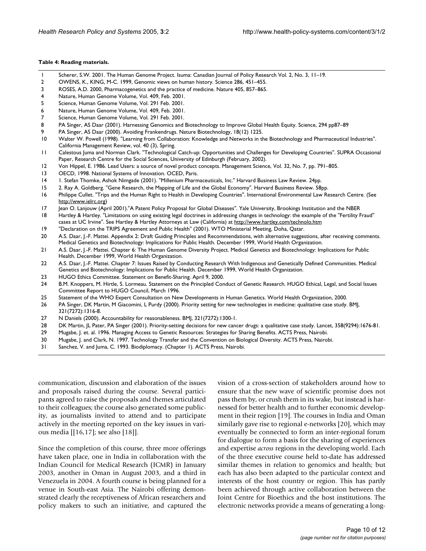#### **Table 4: Reading materials.**

- 1 Scherer, S.W. 2001. The Human Genome Project. Isuma: Canadian Journal of Policy Research Vol. 2, No. 3, 11–19.
- 2 OWENS, K., KING, M-C. 1999, Genomic views on human history. Science 286, 451–455.
- 3 ROSES, A.D. 2000, Pharmacogenetics and the practice of medicine. Nature 405, 857–865.
- 4 Nature, Human Genome Volume, Vol. 409, Feb. 2001.
- 5 Science, Human Genome Volume, Vol. 291 Feb. 2001.
- 6 Nature, Human Genome Volume, Vol. 409, Feb. 2001.
- 7 Science, Human Genome Volume, Vol. 291 Feb. 2001.
- 8 PA Singer, AS Daar (2001). Harnessing Genomics and Biotechnology to Improve Global Health Equity. Science, 294 pp87–89
- 9 PA Singer, AS Daar (2000). Avoiding Frankendrugs. Nature Biotechnology, 18(12) 1225.
- 10 Walter W. Powell (1998). "Learning from Collaboration: Knowledge and Networks in the Biotechnology and Pharmaceutical Industries". California Management Review, vol. 40 (3), Spring.
- 11 Calestous Juma and Norman Clark. "Technological Catch-up: Opportunities and Challenges for Developing Countries". SUPRA Occasional Paper, Research Centre for the Social Sciences, University of Edinburgh (February, 2002).
- 12 Von Hippel, E. 1986. Lead Users: a source of novel product concepts. Management Science, Vol. 32, No. 7, pp. 791–805.
- 13 OECD, 1998. National Systems of Innovation. OCED, Paris.
- 14 1. Stefan Thomke, Ashok Nimgade (2001). "Millenium Pharmaceuticals, Inc." Harvard Business Law Review. 24pp.
- 15 2. Ray A. Goldberg. "Gene Research, the Mapping of Life and the Global Economy". Harvard Business Review. 58pp.
- 16 Philippe Cullet. "Trips and the Human Right to Health in Developing Countries". International Environmental Law Research Centre. (See [http://www.ielrc.org\)](http://www.ielrc.org)
- 17 Jean O. Lanjouw (April 2001)."A Patent Policy Proposal for Global Diseases". Yale University, Brookings Institution and the NBER
- 18 Hartley & Hartley. "Limitations on using existing legal doctrines in addressing changes in technology: the example of the "Fertility Fraud" cases at UC Irvine". See Hartley & Hartley Attorneys at Law (California) at <http://www.hartley.com/technolo.htm>
- 19 "Declaration on the TRIPS Agreement and Public Health" (2001). WTO Ministerial Meeting, Doha, Qatar.
- 20 A.S. Daar, J.-F. Mattei. Appendix 2: Draft Guiding Principles and Recommendations, with alternative suggestions, after receiving comments. Medical Genetics and Biotechnology: Implications for Public Health. December 1999, World Health Organization.
- 21 A.S. Daar, J.-F. Mattei. Chapter 6: The Human Genome Diversity Project. Medical Genetics and Biotechnology: Implications for Public Health. December 1999, World Health Organization.
- 22 A.S. Daar, J.-F. Mattei. Chapter 7: Issues Raised by Conducting Research With Indigenous and Genetically Defined Communities. Medical Genetics and Biotechnology: Implications for Public Health. December 1999, World Health Organization.
- 23 HUGO Ethics Committee. Statement on Benefit-Sharing. April 9, 2000.
- 24 B.M. Knoppers, M. Hirtle, S. Lormeau. Statement on the Principled Conduct of Genetic Research. HUGO Ethical, Legal, and Social Issues Committee Report to HUGO Council, March 1996.
- 25 Statement of the WHO Expert Consultation on New Developments in Human Genetics. World Health Organization, 2000.
- 26 PA Singer, DK Martin, M Giacomini, L Purdy (2000). Priority setting for new technologies in medicine: qualitative case study. BMJ,
- 321(7272):1316-8. 27 N Daniels (2000). Accountability for reasonableness. BMJ, 321(7272):1300-1.
- 28 DK Martin, JL Pater, PA Singer (2001). Priority-setting decisions for new cancer drugs: a qualitative case study. Lancet, 358(9294):1676-81.
- 29 Mugabe, J. et. al. 1996. Managing Access to Genetic Resources: Strategies for Sharing Benefits. ACTS Press, Nairobi.
- 30 Mugabe, J. and Clark, N. 1997. Technology Transfer and the Convention on Biological Diversity. ACTS Press, Nairobi.
- 31 Sanchez, V. and Juma, C. 1993. Biodiplomacy. (Chapter 1). ACTS Press, Nairobi.

communication, discussion and elaboration of the issues and proposals raised during the course. Several participants agreed to raise the proposals and themes articulated to their colleagues; the course also generated some publicity, as journalists invited to attend and to participate actively in the meeting reported on the key issues in various media [[16,17]; see also [18]].

Since the completion of this course, three more offerings have taken place, one in India in collaboration with the Indian Council for Medical Research (ICMR) in January 2003, another in Oman in August 2003, and a third in Venezuela in 2004. A fourth course is being planned for a venue in South-east Asia. The Nairobi offering demonstrated clearly the receptiveness of African researchers and policy makers to such an initiative, and captured the vision of a cross-section of stakeholders around how to ensure that the new wave of scientific promise does not pass them by, or crush them in its wake, but instead is harnessed for better health and to further economic development in their region [19]. The courses in India and Oman similarly gave rise to regional e-networks [20], which may eventually be connected to form an inter-regional forum for dialogue to form a basis for the sharing of experiences and expertise *across* regions in the developing world. Each of the three executive course held to-date has addressed similar themes in relation to genomics and health; but each has also been adapted to the particular context and interests of the host country or region. This has partly been achieved through active collaboration between the Joint Centre for Bioethics and the host institutions. The electronic networks provide a means of generating a long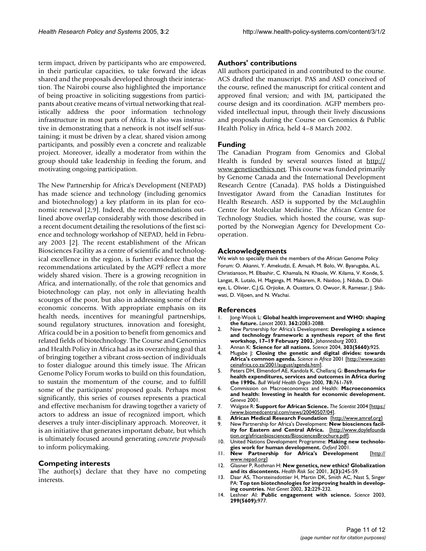term impact, driven by participants who are empowered, in their particular capacities, to take forward the ideas shared and the proposals developed through their interaction. The Nairobi course also highlighted the importance of being proactive in soliciting suggestions from participants about creative means of virtual networking that realistically address the poor information technology infrastructure in most parts of Africa. It also was instructive in demonstrating that a network is not itself self-sustaining; it must be driven by a clear, shared vision among participants, and possibly even a concrete and realizable project. Moreover, ideally a moderator from within the group should take leadership in feeding the forum, and motivating ongoing participation.

The New Partnership for Africa's Development (NEPAD) has made science and technology (including genomics and biotechnology) a key platform in its plan for economic renewal [2,9]. Indeed, the recommendations outlined above overlap considerably with those described in a recent document detailing the resolutions of the first science and technology workshop of NEPAD, held in February 2003 [2]. The recent establishment of the African Biosciences Facility as a centre of scientific and technological excellence in the region, is further evidence that the recommendations articulated by the AGPF reflect a more widely shared vision. There is a growing recognition in Africa, and internationally, of the role that genomics and biotechnology can play, not only in alleviating health scourges of the poor, but also in addressing some of their economic concerns. With appropriate emphasis on its health needs, incentives for meaningful partnerships, sound regulatory structures, innovation and foresight, Africa could be in a position to benefit from genomics and related fields of biotechnology. The Course and Genomics and Health Policy in Africa had as its overarching goal that of bringing together a vibrant cross-section of individuals to foster dialogue around this timely issue. The African Genome Policy Forum works to build on this foundation, to sustain the momentum of the course, and to fulfill some of the participants' proposed goals. Perhaps most significantly, this series of courses represents a practical and effective mechanism for drawing together a variety of actors to address an issue of recognized import, which deserves a truly inter-disciplinary approach. Moreover, it is an initiative that generates important debate, but which is ultimately focused around generating *concrete proposals* to inform policymaking.

#### **Competing interests**

The author(s) declare that they have no competing interests.

#### **Authors' contributions**

All authors participated in and contributed to the course. ACS drafted the manuscript. PAS and ASD conceived of the course, refined the manuscript for critical content and approved final version; and with JM, participated the course design and its coordination. AGFP members provided intellectual input, through their lively discussions and proposals during the Course on Genomics & Public Health Policy in Africa, held 4–8 March 2002.

#### **Funding**

The Canadian Program from Genomics and Global Health is funded by several sources listed at [http://](http://www.geneticsethics.net) [www.geneticsethics.net.](http://www.geneticsethics.net) This course was funded primarily by Genome Canada and the International Development Research Centre (Canada). PAS holds a Distinguished Investigator Award from the Canadian Institutes for Health Research. ASD is supported by the McLaughlin Centre for Molecular Medicine. The African Centre for Technology Studies, which hosted the course, was supported by the Norwegian Agency for Development Cooperation.

#### **Acknowledgements**

We wish to specially thank the members of the African Genome Policy Forum: O. Akanni, Y. Amekudzi, E. Amuah, M. Bolo, W. Byarugaba, A.L. Christianson, M. Elbashir, C. Khamala, N. Khaole, W. Kilama, V. Konde, S. Langat, R. Lutalo, H. Maganga, M. Makarem, R. Naidoo, J. Nduba, D. Olaleye, L. Olivier, C.J.G. Orjioke, A. Ouattara, O. Owuor, R. Ramesar, J. Shikwati, D. Viljoen, and N. Wachai.

#### **References**

- 1. Jong-Wook L: **[Global health improvement and WHO: shaping](http://www.ncbi.nlm.nih.gov/entrez/query.fcgi?cmd=Retrieve&db=PubMed&dopt=Abstract&list_uids=14697812) [the future.](http://www.ncbi.nlm.nih.gov/entrez/query.fcgi?cmd=Retrieve&db=PubMed&dopt=Abstract&list_uids=14697812)** *Lancet* 2003, **362:**2083-2088.
- 2. New Partnership for Africa's Development: **Developing a science and technology framework: a synthesis report of the first workshop, 17–19 February 2003.** *Johannesburg* 2003.
- 3. Annan K: **[Science for all nations.](http://www.ncbi.nlm.nih.gov/entrez/query.fcgi?cmd=Retrieve&db=PubMed&dopt=Abstract&list_uids=14963291)** *Science* 2004, **303(5660):**925.
- 4. Mugabe J: **Closing the genetic and digital divides: towards Africa's common agenda.** *Science in Africa* 2001 [\[http://www.scien](http://www.scienceinafrica.co.za/2001/august/agenda.htm) [ceinafrica.co.za/2001/august/agenda.htm\]](http://www.scienceinafrica.co.za/2001/august/agenda.htm).
- 5. Peters DH, Elmendorf AE, Kandola K, Chellaraj G: **[Benchmarks for](http://www.ncbi.nlm.nih.gov/entrez/query.fcgi?cmd=Retrieve&db=PubMed&dopt=Abstract&list_uids=10916913) [health expenditures, services and outcomes in Africa during](http://www.ncbi.nlm.nih.gov/entrez/query.fcgi?cmd=Retrieve&db=PubMed&dopt=Abstract&list_uids=10916913) [the 1990s.](http://www.ncbi.nlm.nih.gov/entrez/query.fcgi?cmd=Retrieve&db=PubMed&dopt=Abstract&list_uids=10916913)** *Bull World Health Organ* 2000, **78:**761-769.
- 6. Commission on Macroeconomics and Health: **Macroeconomics and health: Investing in health for economic development.** *Geneva* 2001.
- 7. Walgate R: **Support for African Science.** *The Scientist* 2004 [[https:/](https://www.biomedcentral.com/news/20040507/04) [/www.biomedcentral.com/news/20040507/04](https://www.biomedcentral.com/news/20040507/04)].
- 8. **African Medical Research Foundation** [[http://www.amref.org\]](http://www.amref.org)
- New Partnership for Africa's Development: New biosciences facil**ity for Eastern and Central Africa.** [\[http://www.doylefounda](http://www.doylefoundation.org/africanbiosciences/BiosciencesBrochure.pdf) [tion.org/africanbiosciences/BiosciencesBrochure.pdf\]](http://www.doylefoundation.org/africanbiosciences/BiosciencesBrochure.pdf).
- 10. United Nations Development Programme: **Making new technologies work for human development.** *Oxford* 2001.
- 11. **New Partnership for Africa's Development** [\[http://](http://www.nepad.org) [www.nepad.org](http://www.nepad.org)]
- 12. Glasner P, Rothman H: **[New genetics, new ethics? Globalization](http://www.ncbi.nlm.nih.gov/entrez/query.fcgi?cmd=Retrieve&db=PubMed&dopt=Abstract&list_uids=15080126) [and its discontents.](http://www.ncbi.nlm.nih.gov/entrez/query.fcgi?cmd=Retrieve&db=PubMed&dopt=Abstract&list_uids=15080126)** *Health Risk Soc* 2001, **3(3):**245-59.
- 13. Daar AS, Thorsteinsdottier H, Martin DK, Smith AC, Nast S, Singer PA: **[Top ten biotechnologies for improving health in develop](http://www.ncbi.nlm.nih.gov/entrez/query.fcgi?cmd=Retrieve&db=PubMed&dopt=Abstract&list_uids=12355081)[ing countries.](http://www.ncbi.nlm.nih.gov/entrez/query.fcgi?cmd=Retrieve&db=PubMed&dopt=Abstract&list_uids=12355081)** *Nat Genet* 2002, **32:**229-232.
- 14. Leshner AI: **[Public engagement with science.](http://www.ncbi.nlm.nih.gov/entrez/query.fcgi?cmd=Retrieve&db=PubMed&dopt=Abstract&list_uids=12586907)** *Science* 2003, **299(5609):**977.